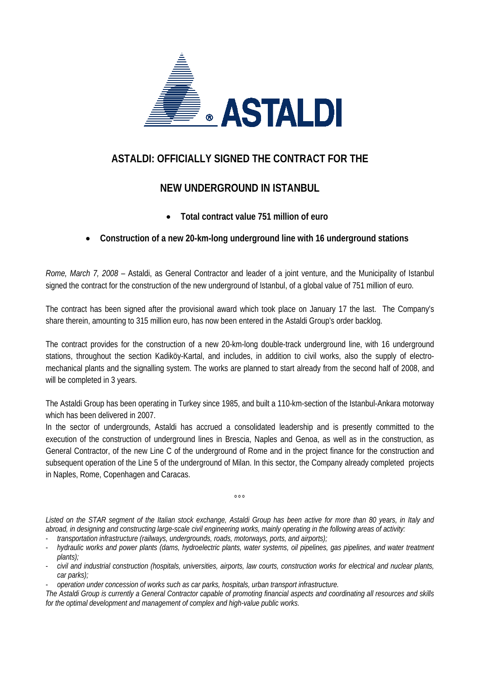

## **ASTALDI: OFFICIALLY SIGNED THE CONTRACT FOR THE**

## **NEW UNDERGROUND IN ISTANBUL**

• **Total contract value 751 million of euro** 

## • **Construction of a new 20-km-long underground line with 16 underground stations**

*Rome, March 7, 2008* – Astaldi, as General Contractor and leader of a joint venture, and the Municipality of Istanbul signed the contract for the construction of the new underground of Istanbul, of a global value of 751 million of euro.

The contract has been signed after the provisional award which took place on January 17 the last. The Company's share therein, amounting to 315 million euro, has now been entered in the Astaldi Group's order backlog.

The contract provides for the construction of a new 20-km-long double-track underground line, with 16 underground stations, throughout the section Kadiköy-Kartal, and includes, in addition to civil works, also the supply of electromechanical plants and the signalling system. The works are planned to start already from the second half of 2008, and will be completed in 3 years.

The Astaldi Group has been operating in Turkey since 1985, and built a 110-km-section of the Istanbul-Ankara motorway which has been delivered in 2007.

In the sector of undergrounds, Astaldi has accrued a consolidated leadership and is presently committed to the execution of the construction of underground lines in Brescia, Naples and Genoa, as well as in the construction, as General Contractor, of the new Line C of the underground of Rome and in the project finance for the construction and subsequent operation of the Line 5 of the underground of Milan. In this sector, the Company already completed projects in Naples, Rome, Copenhagen and Caracas.

*Listed on the STAR segment of the Italian stock exchange, Astaldi Group has been active for more than 80 years, in Italy and abroad, in designing and constructing large-scale civil engineering works, mainly operating in the following areas of activity:*

 $000$ 

- *transportation infrastructure (railways, undergrounds, roads, motorways, ports, and airports);*
- *hydraulic works and power plants (dams, hydroelectric plants, water systems, oil pipelines, gas pipelines, and water treatment plants);*
- *civil and industrial construction (hospitals, universities, airports, law courts, construction works for electrical and nuclear plants, car parks);*
- *operation under concession of works such as car parks, hospitals, urban transport infrastructure.*

*The Astaldi Group is currently a General Contractor capable of promoting financial aspects and coordinating all resources and skills for the optimal development and management of complex and high-value public works.*